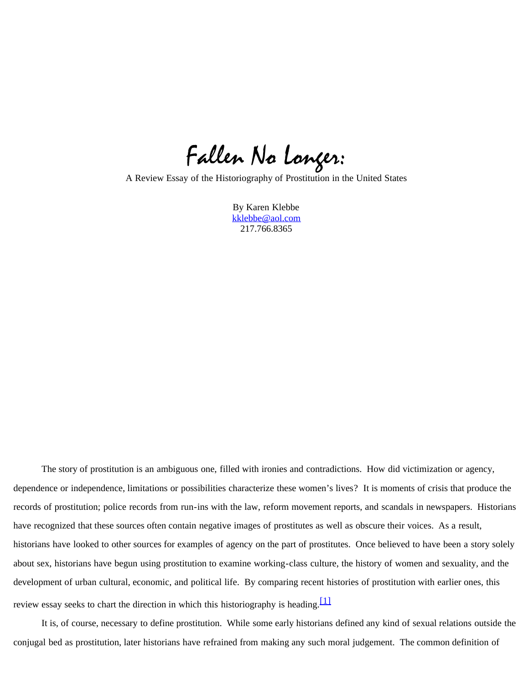Fallen No Longer:

A Review Essay of the Historiography of Prostitution in the United States

By Karen Klebbe [kklebbe@aol.com](mailto:Kklebbe@aol.com) 217.766.8365

The story of prostitution is an ambiguous one, filled with ironies and contradictions. How did victimization or agency, dependence or independence, limitations or possibilities characterize these women's lives? It is moments of crisis that produce the records of prostitution; police records from run-ins with the law, reform movement reports, and scandals in newspapers. Historians have recognized that these sources often contain negative images of prostitutes as well as obscure their voices. As a result, historians have looked to other sources for examples of agency on the part of prostitutes. Once believed to have been a story solely about sex, historians have begun using prostitution to examine working-class culture, the history of women and sexuality, and the development of urban cultural, economic, and political life. By comparing recent histories of prostitution with earlier ones, this review essay seeks to chart the direction in which this historiography is heading.  $[1]$ 

<span id="page-0-0"></span>It is, of course, necessary to define prostitution. While some early historians defined any kind of sexual relations outside the conjugal bed as prostitution, later historians have refrained from making any such moral judgement. The common definition of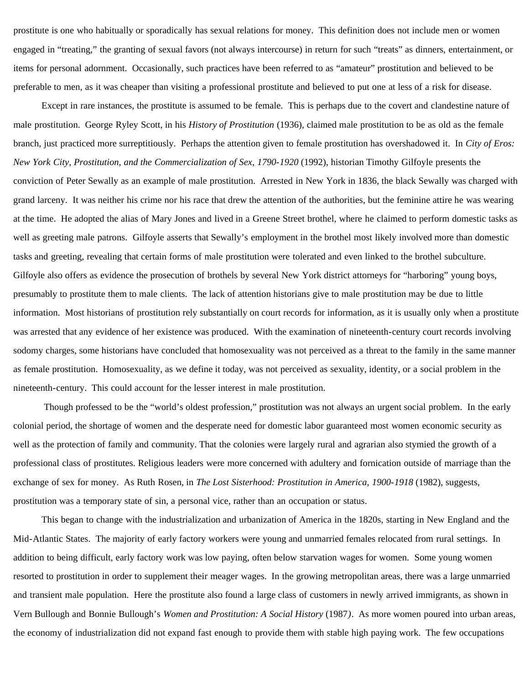prostitute is one who habitually or sporadically has sexual relations for money. This definition does not include men or women engaged in "treating," the granting of sexual favors (not always intercourse) in return for such "treats" as dinners, entertainment, or items for personal adornment. Occasionally, such practices have been referred to as "amateur" prostitution and believed to be preferable to men, as it was cheaper than visiting a professional prostitute and believed to put one at less of a risk for disease.

 Except in rare instances, the prostitute is assumed to be female. This is perhaps due to the covert and clandestine nature of male prostitution. George Ryley Scott, in his *History of Prostitution* (1936), claimed male prostitution to be as old as the female branch, just practiced more surreptitiously. Perhaps the attention given to female prostitution has overshadowed it. In *City of Eros: New York City, Prostitution, and the Commercialization of Sex, 1790-1920* (1992), historian Timothy Gilfoyle presents the conviction of Peter Sewally as an example of male prostitution. Arrested in New York in 1836, the black Sewally was charged with grand larceny. It was neither his crime nor his race that drew the attention of the authorities, but the feminine attire he was wearing at the time. He adopted the alias of Mary Jones and lived in a Greene Street brothel, where he claimed to perform domestic tasks as well as greeting male patrons. Gilfoyle asserts that Sewally's employment in the brothel most likely involved more than domestic tasks and greeting, revealing that certain forms of male prostitution were tolerated and even linked to the brothel subculture. Gilfoyle also offers as evidence the prosecution of brothels by several New York district attorneys for "harboring" young boys, presumably to prostitute them to male clients. The lack of attention historians give to male prostitution may be due to little information. Most historians of prostitution rely substantially on court records for information, as it is usually only when a prostitute was arrested that any evidence of her existence was produced. With the examination of nineteenth-century court records involving sodomy charges, some historians have concluded that homosexuality was not perceived as a threat to the family in the same manner as female prostitution. Homosexuality, as we define it today, was not perceived as sexuality, identity, or a social problem in the nineteenth-century. This could account for the lesser interest in male prostitution.

 Though professed to be the "world's oldest profession," prostitution was not always an urgent social problem. In the early colonial period, the shortage of women and the desperate need for domestic labor guaranteed most women economic security as well as the protection of family and community. That the colonies were largely rural and agrarian also stymied the growth of a professional class of prostitutes. Religious leaders were more concerned with adultery and fornication outside of marriage than the exchange of sex for money. As Ruth Rosen, in *The Lost Sisterhood: Prostitution in America, 1900-1918* (1982), suggests, prostitution was a temporary state of sin, a personal vice, rather than an occupation or status.

 This began to change with the industrialization and urbanization of America in the 1820s, starting in New England and the Mid-Atlantic States. The majority of early factory workers were young and unmarried females relocated from rural settings. In addition to being difficult, early factory work was low paying, often below starvation wages for women. Some young women resorted to prostitution in order to supplement their meager wages. In the growing metropolitan areas, there was a large unmarried and transient male population. Here the prostitute also found a large class of customers in newly arrived immigrants, as shown in Vern Bullough and Bonnie Bullough's *Women and Prostitution: A Social History* (1987*)*. As more women poured into urban areas, the economy of industrialization did not expand fast enough to provide them with stable high paying work. The few occupations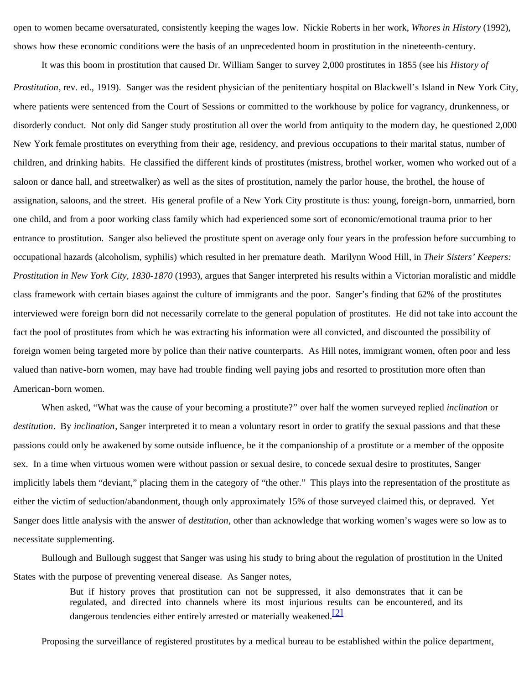open to women became oversaturated, consistently keeping the wages low. Nickie Roberts in her work, *Whores in History* (1992), shows how these economic conditions were the basis of an unprecedented boom in prostitution in the nineteenth-century.

 It was this boom in prostitution that caused Dr. William Sanger to survey 2,000 prostitutes in 1855 (see his *History of Prostitution*, rev. ed., 1919). Sanger was the resident physician of the penitentiary hospital on Blackwell's Island in New York City, where patients were sentenced from the Court of Sessions or committed to the workhouse by police for vagrancy, drunkenness, or disorderly conduct. Not only did Sanger study prostitution all over the world from antiquity to the modern day, he questioned 2,000 New York female prostitutes on everything from their age, residency, and previous occupations to their marital status, number of children, and drinking habits. He classified the different kinds of prostitutes (mistress, brothel worker, women who worked out of a saloon or dance hall, and streetwalker) as well as the sites of prostitution, namely the parlor house, the brothel, the house of assignation, saloons, and the street. His general profile of a New York City prostitute is thus: young, foreign-born, unmarried, born one child, and from a poor working class family which had experienced some sort of economic/emotional trauma prior to her entrance to prostitution. Sanger also believed the prostitute spent on average only four years in the profession before succumbing to occupational hazards (alcoholism, syphilis) which resulted in her premature death. Marilynn Wood Hill, in *Their Sisters' Keepers: Prostitution in New York City, 1830-1870* (1993), argues that Sanger interpreted his results within a Victorian moralistic and middle class framework with certain biases against the culture of immigrants and the poor. Sanger's finding that 62% of the prostitutes interviewed were foreign born did not necessarily correlate to the general population of prostitutes. He did not take into account the fact the pool of prostitutes from which he was extracting his information were all convicted, and discounted the possibility of foreign women being targeted more by police than their native counterparts. As Hill notes, immigrant women, often poor and less valued than native-born women, may have had trouble finding well paying jobs and resorted to prostitution more often than American-born women.

 When asked, "What was the cause of your becoming a prostitute?" over half the women surveyed replied *inclination* or *destitution*. By *inclination*, Sanger interpreted it to mean a voluntary resort in order to gratify the sexual passions and that these passions could only be awakened by some outside influence, be it the companionship of a prostitute or a member of the opposite sex. In a time when virtuous women were without passion or sexual desire, to concede sexual desire to prostitutes, Sanger implicitly labels them "deviant," placing them in the category of "the other." This plays into the representation of the prostitute as either the victim of seduction/abandonment, though only approximately 15% of those surveyed claimed this, or depraved. Yet Sanger does little analysis with the answer of *destitution*, other than acknowledge that working women's wages were so low as to necessitate supplementing.

 Bullough and Bullough suggest that Sanger was using his study to bring about the regulation of prostitution in the United States with the purpose of preventing venereal disease. As Sanger notes,

> But if history proves that prostitution can not be suppressed, it also demonstrates that it can be regulated, and directed into channels where its most injurious results can be encountered, and its dangerous tendencies either entirely arrested or materially weakened.<sup>[\[2\]](#page-8-1)</sup>

<span id="page-2-0"></span>Proposing the surveillance of registered prostitutes by a medical bureau to be established within the police department,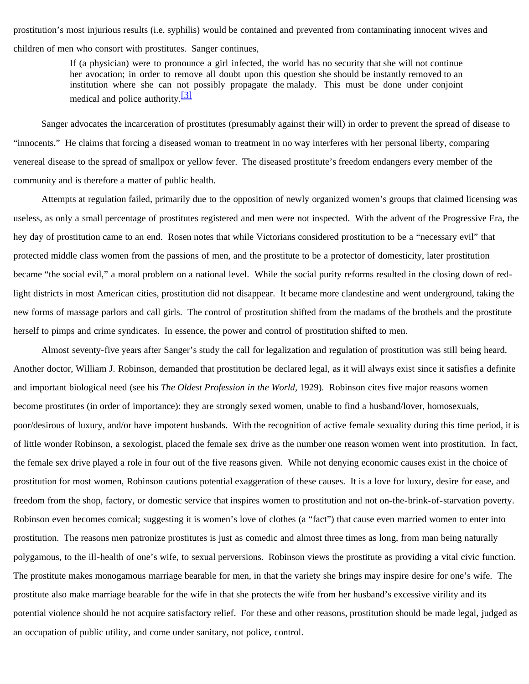prostitution's most injurious results (i.e. syphilis) would be contained and prevented from contaminating innocent wives and children of men who consort with prostitutes. Sanger continues,

> If (a physician) were to pronounce a girl infected, the world has no security that she will not continue her avocation; in order to remove all doubt upon this question she should be instantly removed to an institution where she can not possibly propagate the malady. This must be done under conjoint medical and police authority.<sup>[\[3\]](#page-8-2)</sup>

<span id="page-3-0"></span>Sanger advocates the incarceration of prostitutes (presumably against their will) in order to prevent the spread of disease to "innocents." He claims that forcing a diseased woman to treatment in no way interferes with her personal liberty, comparing venereal disease to the spread of smallpox or yellow fever. The diseased prostitute's freedom endangers every member of the community and is therefore a matter of public health.

 Attempts at regulation failed, primarily due to the opposition of newly organized women's groups that claimed licensing was useless, as only a small percentage of prostitutes registered and men were not inspected. With the advent of the Progressive Era, the hey day of prostitution came to an end. Rosen notes that while Victorians considered prostitution to be a "necessary evil" that protected middle class women from the passions of men, and the prostitute to be a protector of domesticity, later prostitution became "the social evil," a moral problem on a national level. While the social purity reforms resulted in the closing down of redlight districts in most American cities, prostitution did not disappear. It became more clandestine and went underground, taking the new forms of massage parlors and call girls. The control of prostitution shifted from the madams of the brothels and the prostitute herself to pimps and crime syndicates. In essence, the power and control of prostitution shifted to men.

Almost seventy-five years after Sanger's study the call for legalization and regulation of prostitution was still being heard. Another doctor, William J. Robinson, demanded that prostitution be declared legal, as it will always exist since it satisfies a definite and important biological need (see his *The Oldest Profession in the World*, 1929). Robinson cites five major reasons women become prostitutes (in order of importance): they are strongly sexed women, unable to find a husband/lover, homosexuals, poor/desirous of luxury, and/or have impotent husbands. With the recognition of active female sexuality during this time period, it is of little wonder Robinson, a sexologist, placed the female sex drive as the number one reason women went into prostitution. In fact, the female sex drive played a role in four out of the five reasons given. While not denying economic causes exist in the choice of prostitution for most women, Robinson cautions potential exaggeration of these causes. It is a love for luxury, desire for ease, and freedom from the shop, factory, or domestic service that inspires women to prostitution and not on-the-brink-of-starvation poverty. Robinson even becomes comical; suggesting it is women's love of clothes (a "fact") that cause even married women to enter into prostitution. The reasons men patronize prostitutes is just as comedic and almost three times as long, from man being naturally polygamous, to the ill-health of one's wife, to sexual perversions. Robinson views the prostitute as providing a vital civic function. The prostitute makes monogamous marriage bearable for men, in that the variety she brings may inspire desire for one's wife. The prostitute also make marriage bearable for the wife in that she protects the wife from her husband's excessive virility and its potential violence should he not acquire satisfactory relief. For these and other reasons, prostitution should be made legal, judged as an occupation of public utility, and come under sanitary, not police, control.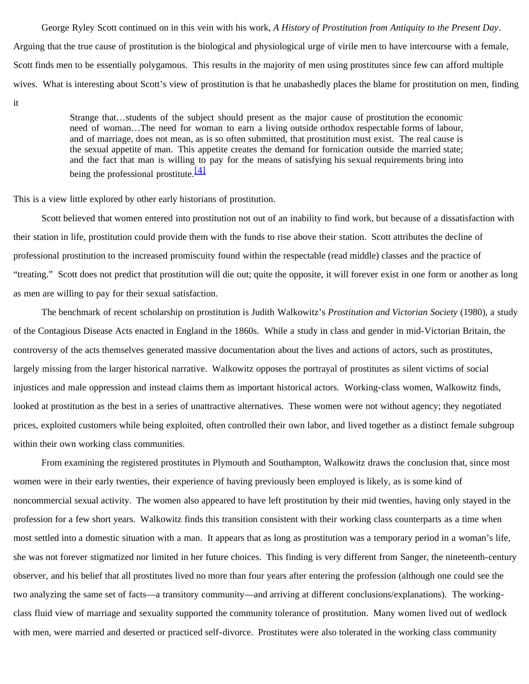George Ryley Scott continued on in this vein with his work, *A History of Prostitution from Antiquity to the Present Day*. Arguing that the true cause of prostitution is the biological and physiological urge of virile men to have intercourse with a female, Scott finds men to be essentially polygamous. This results in the majority of men using prostitutes since few can afford multiple wives. What is interesting about Scott's view of prostitution is that he unabashedly places the blame for prostitution on men, finding it

> Strange that…students of the subject should present as the major cause of prostitution the economic need of woman…The need for woman to earn a living outside orthodox respectable forms of labour, and of marriage, does not mean, as is so often submitted, that prostitution must exist. The real cause is the sexual appetite of man. This appetite creates the demand for fornication outside the married state; and the fact that man is willing to pay for the means of satisfying his sexual requirements bring into being the professional prostitute.  $[4]$

<span id="page-4-0"></span>This is a view little explored by other early historians of prostitution.

Scott believed that women entered into prostitution not out of an inability to find work, but because of a dissatisfaction with their station in life, prostitution could provide them with the funds to rise above their station. Scott attributes the decline of professional prostitution to the increased promiscuity found within the respectable (read middle) classes and the practice of "treating." Scott does not predict that prostitution will die out; quite the opposite, it will forever exist in one form or another as long as men are willing to pay for their sexual satisfaction.

The benchmark of recent scholarship on prostitution is Judith Walkowitz's *Prostitution and Victorian Society* (1980), a study of the Contagious Disease Acts enacted in England in the 1860s. While a study in class and gender in mid-Victorian Britain, the controversy of the acts themselves generated massive documentation about the lives and actions of actors, such as prostitutes, largely missing from the larger historical narrative. Walkowitz opposes the portrayal of prostitutes as silent victims of social injustices and male oppression and instead claims them as important historical actors. Working-class women, Walkowitz finds, looked at prostitution as the best in a series of unattractive alternatives. These women were not without agency; they negotiated prices, exploited customers while being exploited, often controlled their own labor, and lived together as a distinct female subgroup within their own working class communities.

From examining the registered prostitutes in Plymouth and Southampton, Walkowitz draws the conclusion that, since most women were in their early twenties, their experience of having previously been employed is likely, as is some kind of noncommercial sexual activity. The women also appeared to have left prostitution by their mid twenties, having only stayed in the profession for a few short years. Walkowitz finds this transition consistent with their working class counterparts as a time when most settled into a domestic situation with a man. It appears that as long as prostitution was a temporary period in a woman's life, she was not forever stigmatized nor limited in her future choices. This finding is very different from Sanger, the nineteenth-century observer, and his belief that all prostitutes lived no more than four years after entering the profession (although one could see the two analyzing the same set of facts—a transitory community—and arriving at different conclusions/explanations). The workingclass fluid view of marriage and sexuality supported the community tolerance of prostitution. Many women lived out of wedlock with men, were married and deserted or practiced self-divorce. Prostitutes were also tolerated in the working class community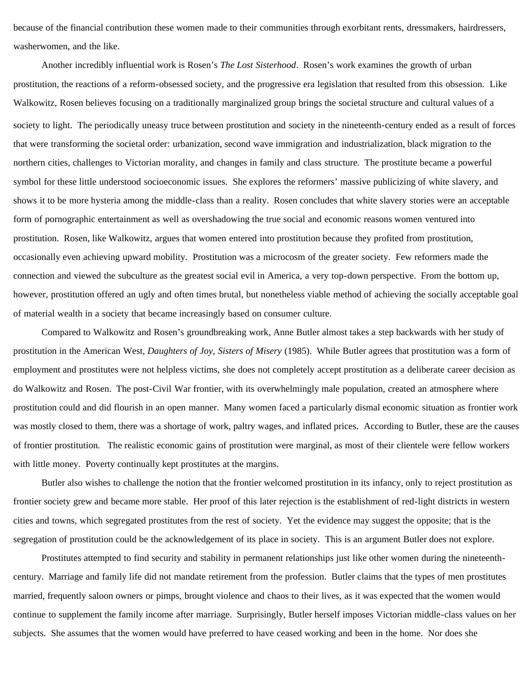because of the financial contribution these women made to their communities through exorbitant rents, dressmakers, hairdressers, washerwomen, and the like.

Another incredibly influential work is Rosen's *The Lost Sisterhood*. Rosen's work examines the growth of urban prostitution, the reactions of a reform-obsessed society, and the progressive era legislation that resulted from this obsession. Like Walkowitz, Rosen believes focusing on a traditionally marginalized group brings the societal structure and cultural values of a society to light. The periodically uneasy truce between prostitution and society in the nineteenth-century ended as a result of forces that were transforming the societal order: urbanization, second wave immigration and industrialization, black migration to the northern cities, challenges to Victorian morality, and changes in family and class structure. The prostitute became a powerful symbol for these little understood socioeconomic issues. She explores the reformers' massive publicizing of white slavery, and shows it to be more hysteria among the middle-class than a reality. Rosen concludes that white slavery stories were an acceptable form of pornographic entertainment as well as overshadowing the true social and economic reasons women ventured into prostitution. Rosen, like Walkowitz, argues that women entered into prostitution because they profited from prostitution, occasionally even achieving upward mobility. Prostitution was a microcosm of the greater society. Few reformers made the connection and viewed the subculture as the greatest social evil in America, a very top-down perspective. From the bottom up, however, prostitution offered an ugly and often times brutal, but nonetheless viable method of achieving the socially acceptable goal of material wealth in a society that became increasingly based on consumer culture.

Compared to Walkowitz and Rosen's groundbreaking work, Anne Butler almost takes a step backwards with her study of prostitution in the American West, *Daughters of Joy, Sisters of Misery* (1985). While Butler agrees that prostitution was a form of employment and prostitutes were not helpless victims, she does not completely accept prostitution as a deliberate career decision as do Walkowitz and Rosen. The post-Civil War frontier, with its overwhelmingly male population, created an atmosphere where prostitution could and did flourish in an open manner. Many women faced a particularly dismal economic situation as frontier work was mostly closed to them, there was a shortage of work, paltry wages, and inflated prices. According to Butler, these are the causes of frontier prostitution. The realistic economic gains of prostitution were marginal, as most of their clientele were fellow workers with little money. Poverty continually kept prostitutes at the margins.

Butler also wishes to challenge the notion that the frontier welcomed prostitution in its infancy, only to reject prostitution as frontier society grew and became more stable. Her proof of this later rejection is the establishment of red-light districts in western cities and towns, which segregated prostitutes from the rest of society. Yet the evidence may suggest the opposite; that is the segregation of prostitution could be the acknowledgement of its place in society. This is an argument Butler does not explore.

Prostitutes attempted to find security and stability in permanent relationships just like other women during the nineteenthcentury. Marriage and family life did not mandate retirement from the profession. Butler claims that the types of men prostitutes married, frequently saloon owners or pimps, brought violence and chaos to their lives, as it was expected that the women would continue to supplement the family income after marriage. Surprisingly, Butler herself imposes Victorian middle-class values on her subjects. She assumes that the women would have preferred to have ceased working and been in the home. Nor does she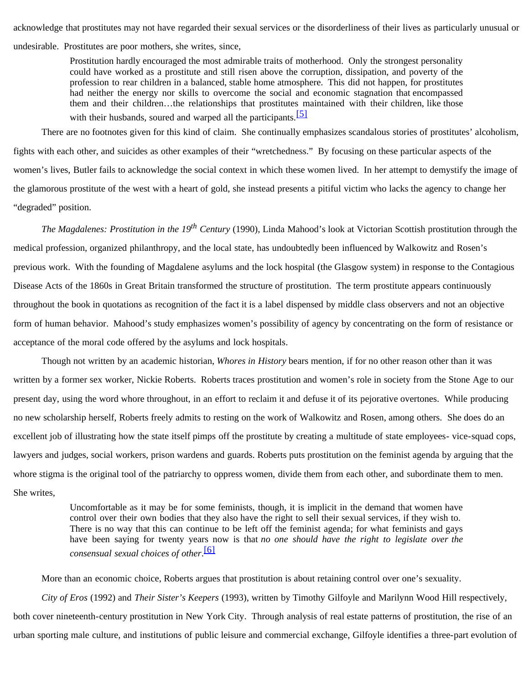acknowledge that prostitutes may not have regarded their sexual services or the disorderliness of their lives as particularly unusual or

undesirable. Prostitutes are poor mothers, she writes, since,

Prostitution hardly encouraged the most admirable traits of motherhood. Only the strongest personality could have worked as a prostitute and still risen above the corruption, dissipation, and poverty of the profession to rear children in a balanced, stable home atmosphere. This did not happen, for prostitutes had neither the energy nor skills to overcome the social and economic stagnation that encompassed them and their children…the relationships that prostitutes maintained with their children, like those with their husbands, soured and warped all the participants.<sup>[\[5\]](#page-8-4)</sup>

<span id="page-6-0"></span>There are no footnotes given for this kind of claim. She continually emphasizes scandalous stories of prostitutes' alcoholism, fights with each other, and suicides as other examples of their "wretchedness." By focusing on these particular aspects of the women's lives, Butler fails to acknowledge the social context in which these women lived. In her attempt to demystify the image of the glamorous prostitute of the west with a heart of gold, she instead presents a pitiful victim who lacks the agency to change her "degraded" position.

*The Magdalenes: Prostitution in the 19th Century* (1990), Linda Mahood's look at Victorian Scottish prostitution through the medical profession, organized philanthropy, and the local state, has undoubtedly been influenced by Walkowitz and Rosen's previous work. With the founding of Magdalene asylums and the lock hospital (the Glasgow system) in response to the Contagious Disease Acts of the 1860s in Great Britain transformed the structure of prostitution. The term prostitute appears continuously throughout the book in quotations as recognition of the fact it is a label dispensed by middle class observers and not an objective form of human behavior. Mahood's study emphasizes women's possibility of agency by concentrating on the form of resistance or acceptance of the moral code offered by the asylums and lock hospitals.

Though not written by an academic historian, *Whores in History* bears mention, if for no other reason other than it was written by a former sex worker, Nickie Roberts. Roberts traces prostitution and women's role in society from the Stone Age to our present day, using the word whore throughout, in an effort to reclaim it and defuse it of its pejorative overtones. While producing no new scholarship herself, Roberts freely admits to resting on the work of Walkowitz and Rosen, among others. She does do an excellent job of illustrating how the state itself pimps off the prostitute by creating a multitude of state employees- vice-squad cops, lawyers and judges, social workers, prison wardens and guards. Roberts puts prostitution on the feminist agenda by arguing that the whore stigma is the original tool of the patriarchy to oppress women, divide them from each other, and subordinate them to men. She writes,

> Uncomfortable as it may be for some feminists, though, it is implicit in the demand that women have control over their own bodies that they also have the right to sell their sexual services, if they wish to. There is no way that this can continue to be left off the feminist agenda; for what feminists and gays have been saying for twenty years now is that *no one should have the right to legislate over the consensual sexual choices of other*. [\[6\]](#page-8-5)

<span id="page-6-1"></span>More than an economic choice, Roberts argues that prostitution is about retaining control over one's sexuality.

*City of Eros* (1992) and *Their Sister's Keepers* (1993), written by Timothy Gilfoyle and Marilynn Wood Hill respectively, both cover nineteenth-century prostitution in New York City. Through analysis of real estate patterns of prostitution, the rise of an urban sporting male culture, and institutions of public leisure and commercial exchange, Gilfoyle identifies a three-part evolution of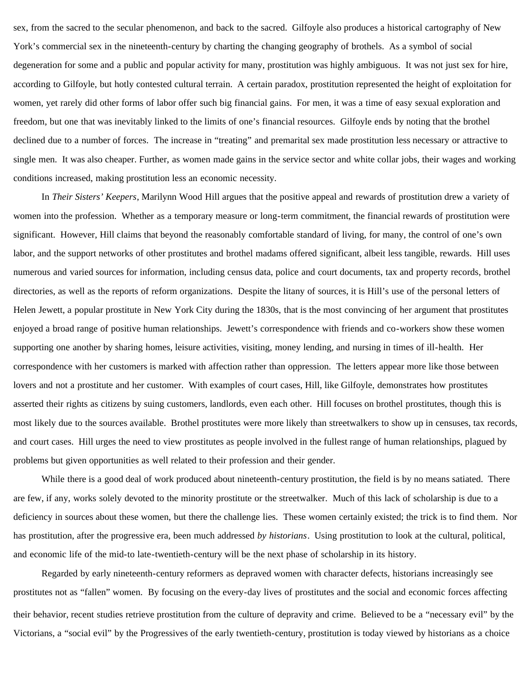sex, from the sacred to the secular phenomenon, and back to the sacred. Gilfoyle also produces a historical cartography of New York's commercial sex in the nineteenth-century by charting the changing geography of brothels. As a symbol of social degeneration for some and a public and popular activity for many, prostitution was highly ambiguous. It was not just sex for hire, according to Gilfoyle, but hotly contested cultural terrain. A certain paradox, prostitution represented the height of exploitation for women, yet rarely did other forms of labor offer such big financial gains. For men, it was a time of easy sexual exploration and freedom, but one that was inevitably linked to the limits of one's financial resources. Gilfoyle ends by noting that the brothel declined due to a number of forces. The increase in "treating" and premarital sex made prostitution less necessary or attractive to single men. It was also cheaper. Further, as women made gains in the service sector and white collar jobs, their wages and working conditions increased, making prostitution less an economic necessity.

In *Their Sisters' Keepers*, Marilynn Wood Hill argues that the positive appeal and rewards of prostitution drew a variety of women into the profession. Whether as a temporary measure or long-term commitment, the financial rewards of prostitution were significant. However, Hill claims that beyond the reasonably comfortable standard of living, for many, the control of one's own labor, and the support networks of other prostitutes and brothel madams offered significant, albeit less tangible, rewards. Hill uses numerous and varied sources for information, including census data, police and court documents, tax and property records, brothel directories, as well as the reports of reform organizations. Despite the litany of sources, it is Hill's use of the personal letters of Helen Jewett, a popular prostitute in New York City during the 1830s, that is the most convincing of her argument that prostitutes enjoyed a broad range of positive human relationships. Jewett's correspondence with friends and co-workers show these women supporting one another by sharing homes, leisure activities, visiting, money lending, and nursing in times of ill-health. Her correspondence with her customers is marked with affection rather than oppression. The letters appear more like those between lovers and not a prostitute and her customer. With examples of court cases, Hill, like Gilfoyle, demonstrates how prostitutes asserted their rights as citizens by suing customers, landlords, even each other. Hill focuses on brothel prostitutes, though this is most likely due to the sources available. Brothel prostitutes were more likely than streetwalkers to show up in censuses, tax records, and court cases. Hill urges the need to view prostitutes as people involved in the fullest range of human relationships, plagued by problems but given opportunities as well related to their profession and their gender.

While there is a good deal of work produced about nineteenth-century prostitution, the field is by no means satiated. There are few, if any, works solely devoted to the minority prostitute or the streetwalker. Much of this lack of scholarship is due to a deficiency in sources about these women, but there the challenge lies. These women certainly existed; the trick is to find them. Nor has prostitution, after the progressive era, been much addressed *by historians*. Using prostitution to look at the cultural, political, and economic life of the mid-to late-twentieth-century will be the next phase of scholarship in its history.

Regarded by early nineteenth-century reformers as depraved women with character defects, historians increasingly see prostitutes not as "fallen" women. By focusing on the every-day lives of prostitutes and the social and economic forces affecting their behavior, recent studies retrieve prostitution from the culture of depravity and crime. Believed to be a "necessary evil" by the Victorians, a "social evil" by the Progressives of the early twentieth-century, prostitution is today viewed by historians as a choice